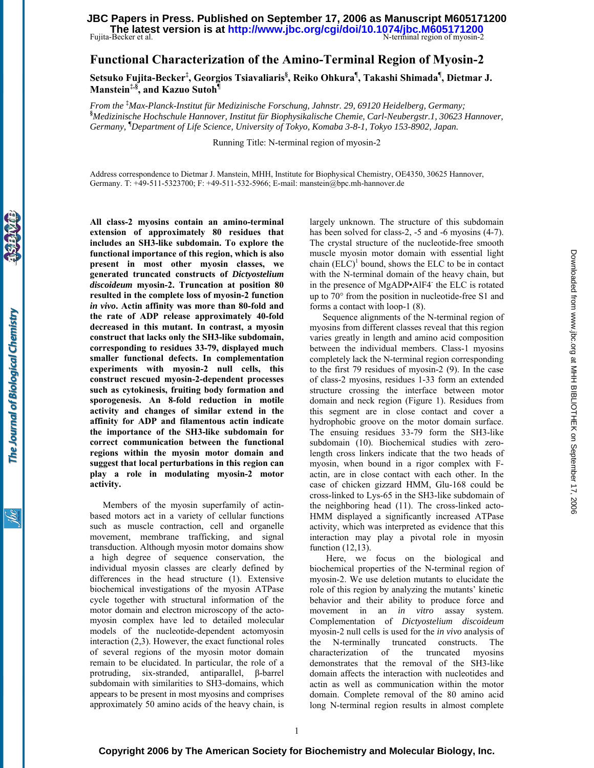### Fujita-Becker et al. N-terminal region of myosin-2 **The latest version is at<http://www.jbc.org/cgi/doi/10.1074/jbc.M605171200> JBC Papers in Press. Published on September 17, 2006 as Manuscript M605171200**

# **Functional Characterization of the Amino-Terminal Region of Myosin-2**

**Setsuko Fujita-Becker‡ , Georgios Tsiavaliaris§ , Reiko Ohkura¶ , Takashi Shimada¶ , Dietmar J. Manstein‡,§, and Kazuo Sutoh¶**

*From the* **‡** *Max-Planck-Institut für Medizinische Forschung, Jahnstr. 29, 69120 Heidelberg, Germany;*  **§** *Medizinische Hochschule Hannover, Institut für Biophysikalische Chemie, Carl-Neubergstr.1, 30623 Hannover, Germany,* **¶** *Department of Life Science, University of Tokyo, Komaba 3-8-1, Tokyo 153-8902, Japan.* 

Running Title: N-terminal region of myosin-2

Address correspondence to Dietmar J. Manstein, MHH, Institute for Biophysical Chemistry, OE4350, 30625 Hannover, Germany. T: +49-511-5323700; F: +49-511-532-5966; E-mail: manstein@bpc.mh-hannover.de

**All class-2 myosins contain an amino-terminal extension of approximately 80 residues that includes an SH3-like subdomain. To explore the functional importance of this region, which is also present in most other myosin classes, we generated truncated constructs of** *Dictyostelium discoideum* **myosin-2. Truncation at position 80 resulted in the complete loss of myosin-2 function**  *in vivo***. Actin affinity was more than 80-fold and the rate of ADP release approximately 40-fold decreased in this mutant. In contrast, a myosin construct that lacks only the SH3-like subdomain, corresponding to residues 33-79, displayed much smaller functional defects. In complementation experiments with myosin-2 null cells, this construct rescued myosin-2-dependent processes such as cytokinesis, fruiting body formation and sporogenesis. An 8-fold reduction in motile activity and changes of similar extend in the affinity for ADP and filamentous actin indicate the importance of the SH3-like subdomain for correct communication between the functional regions within the myosin motor domain and suggest that local perturbations in this region can play a role in modulating myosin-2 motor activity.** 

Members of the myosin superfamily of actinbased motors act in a variety of cellular functions such as muscle contraction, cell and organelle movement, membrane trafficking, and signal transduction. Although myosin motor domains show a high degree of sequence conservation, the individual myosin classes are clearly defined by differences in the head structure (1). Extensive biochemical investigations of the myosin ATPase cycle together with structural information of the motor domain and electron microscopy of the actomyosin complex have led to detailed molecular models of the nucleotide-dependent actomyosin interaction (2,3). However, the exact functional roles of several regions of the myosin motor domain remain to be elucidated. In particular, the role of a protruding, six-stranded, antiparallel, β-barrel subdomain with similarities to SH3-domains, which appears to be present in most myosins and comprises approximately 50 amino acids of the heavy chain, is largely unknown. The structure of this subdomain has been solved for class-2, -5 and -6 myosins (4-7). The crystal structure of the nucleotide-free smooth muscle myosin motor domain with essential light chain  $(ELC)^1$  bound, shows the ELC to be in contact with the N-terminal domain of the heavy chain, but in the presence of MgADP•AlF4<sup>-</sup> the ELC is rotated up to 70° from the position in nucleotide-free S1 and forms a contact with loop-1 (8).

Sequence alignments of the N-terminal region of myosins from different classes reveal that this region varies greatly in length and amino acid composition between the individual members. Class-1 myosins completely lack the N-terminal region corresponding to the first 79 residues of myosin-2 (9). In the case of class-2 myosins, residues 1-33 form an extended structure crossing the interface between motor domain and neck region (Figure 1). Residues from this segment are in close contact and cover a hydrophobic groove on the motor domain surface. The ensuing residues 33-79 form the SH3-like subdomain (10). Biochemical studies with zerolength cross linkers indicate that the two heads of myosin, when bound in a rigor complex with Factin, are in close contact with each other. In the case of chicken gizzard HMM, Glu-168 could be cross-linked to Lys-65 in the SH3-like subdomain of the neighboring head (11). The cross-linked acto-HMM displayed a significantly increased ATPase activity, which was interpreted as evidence that this interaction may play a pivotal role in myosin function (12,13).

Here, we focus on the biological and biochemical properties of the N-terminal region of myosin-2. We use deletion mutants to elucidate the role of this region by analyzing the mutants' kinetic behavior and their ability to produce force and movement in an *in vitro* assay system. Complementation of *Dictyostelium discoideum* myosin-2 null cells is used for the *in vivo* analysis of the N-terminally truncated constructs. The characterization of the truncated myosins demonstrates that the removal of the SH3-like domain affects the interaction with nucleotides and actin as well as communication within the motor domain. Complete removal of the 80 amino acid long N-terminal region results in almost complete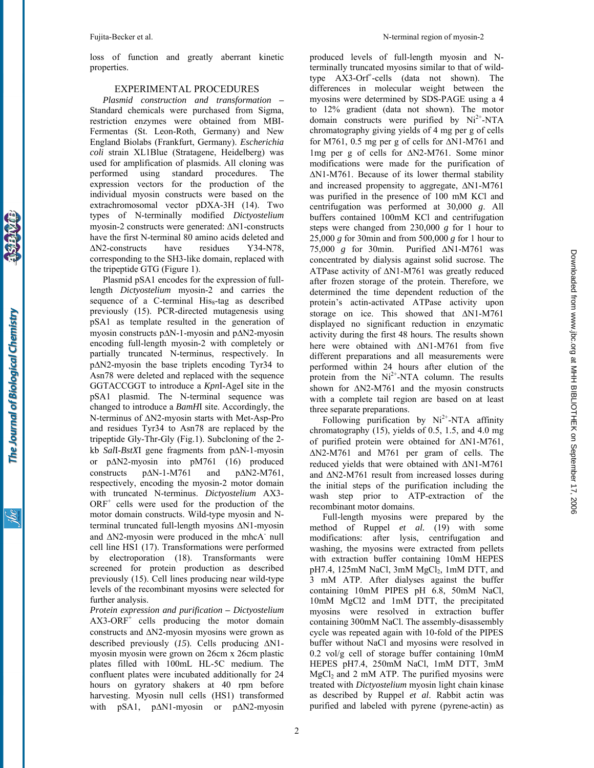loss of function and greatly aberrant kinetic properties.

#### EXPERIMENTAL PROCEDURES

*Plasmid construction and transformation* **–** Standard chemicals were purchased from Sigma, restriction enzymes were obtained from MBI-Fermentas (St. Leon-Roth, Germany) and New England Biolabs (Frankfurt, Germany). *Escherichia coli* strain XL1Blue (Stratagene, Heidelberg) was used for amplification of plasmids. All cloning was performed using standard procedures. The expression vectors for the production of the individual myosin constructs were based on the extrachromosomal vector pDXA-3H (14). Two types of N-terminally modified *Dictyostelium* myosin-2 constructs were generated: ∆N1-constructs have the first N-terminal 80 amino acids deleted and ∆N2-constructs have residues Y34-N78, corresponding to the SH3-like domain, replaced with the tripeptide GTG (Figure 1).

Plasmid pSA1 encodes for the expression of fulllength *Dictyostelium* myosin-2 and carries the sequence of a C-terminal  $His<sub>8</sub>$ -tag as described previously (15). PCR-directed mutagenesis using pSA1 as template resulted in the generation of myosin constructs p∆N-1-myosin and p∆N2-myosin encoding full-length myosin-2 with completely or partially truncated N-terminus, respectively. In p∆N2-myosin the base triplets encoding Tyr34 to Asn78 were deleted and replaced with the sequence GGTACCGGT to introduce a *Kpn*I-AgeI site in the pSA1 plasmid. The N-terminal sequence was changed to introduce a *BamH*I site. Accordingly, the N-terminus of ∆N2-myosin starts with Met-Asp-Pro and residues Tyr34 to Asn78 are replaced by the tripeptide Gly-Thr-Gly (Fig.1). Subcloning of the 2 kb *Sal*I-*BstX*I gene fragments from p∆N-1-myosin or p∆N2-myosin into pM761 (16) produced constructs p∆N-1-M761 and p∆N2-M761, respectively, encoding the myosin-2 motor domain with truncated N-terminus. *Dictyostelium* AX3- ORF<sup>+</sup> cells were used for the production of the motor domain constructs. Wild-type myosin and Nterminal truncated full-length myosins ∆N1-myosin and ∆N2-myosin were produced in the mhcA<sup>-</sup> null cell line HS1 (17). Transformations were performed by electroporation (18). Transformants were screened for protein production as described previously (15). Cell lines producing near wild-type levels of the recombinant myosins were selected for further analysis.

*Protein expression and purification* **–** *Dictyostelium*   $AX3-ORF<sup>+</sup>$  cells producing the motor domain constructs and ∆N2-myosin myosins were grown as described previously (*15*). Cells producing ∆N1 myosin myosin were grown on 26cm x 26cm plastic plates filled with 100mL HL-5C medium. The confluent plates were incubated additionally for 24 hours on gyratory shakers at 40 rpm before harvesting. Myosin null cells (HS1) transformed with pSA1, p∆N1-myosin or p∆N2-myosin produced levels of full-length myosin and Nterminally truncated myosins similar to that of wildtype AX3-Orf<sup>+</sup>-cells (data not shown). The differences in molecular weight between the myosins were determined by SDS-PAGE using a 4 to 12% gradient (data not shown). The motor domain constructs were purified by  $Ni<sup>2+</sup>-NTA$ chromatography giving yields of 4 mg per g of cells for M761, 0.5 mg per g of cells for ∆N1-M761 and 1mg per g of cells for ∆N2-M761. Some minor modifications were made for the purification of ∆N1-M761. Because of its lower thermal stability and increased propensity to aggregate, ∆N1-M761 was purified in the presence of 100 mM KCl and centrifugation was performed at 30,000 *g*. All buffers contained 100mM KCl and centrifugation steps were changed from 230,000 *g* for 1 hour to 25,000 *g* for 30min and from 500,000 *g* for 1 hour to 75,000 *g* for 30min. Purified ∆N1-M761 was concentrated by dialysis against solid sucrose. The ATPase activity of ∆N1-M761 was greatly reduced after frozen storage of the protein. Therefore, we determined the time dependent reduction of the protein's actin-activated ATPase activity upon storage on ice. This showed that ∆N1-M761 displayed no significant reduction in enzymatic activity during the first 48 hours. The results shown here were obtained with ∆N1-M761 from five different preparations and all measurements were performed within 24 hours after elution of the protein from the  $Ni<sup>2+</sup>-NTA$  column. The results shown for ΔN2-M761 and the myosin constructs with a complete tail region are based on at least three separate preparations.

Following purification by  $Ni^{2+}$ -NTA affinity chromatography (15), yields of 0.5, 1.5, and 4.0 mg of purified protein were obtained for ∆N1-M761, ∆N2-M761 and M761 per gram of cells. The reduced yields that were obtained with ∆N1-M761 and ∆N2-M761 result from increased losses during the initial steps of the purification including the wash step prior to ATP-extraction of the recombinant motor domains.

Downloaded from www.jpc.org at MHH BIBLIOTHEK on September 17, 2006 Downloadedfrom [www.jbc.org](http://www.jbc.org) at MHH BIBLIOTHEK on September 17, 2006

Full-length myosins were prepared by the method of Ruppel *et al.* (19) with some modifications: after lysis, centrifugation and washing, the myosins were extracted from pellets with extraction buffer containing 10mM HEPES pH7.4, 125mM NaCl,  $3mM MgCl<sub>2</sub>$ , 1mM DTT, and 3 mM ATP. After dialyses against the buffer containing 10mM PIPES pH 6.8, 50mM NaCl, 10mM MgCl2 and 1mM DTT, the precipitated myosins were resolved in extraction buffer containing 300mM NaCl. The assembly-disassembly cycle was repeated again with 10-fold of the PIPES buffer without NaCl and myosins were resolved in 0.2 vol/g cell of storage buffer containing 10mM HEPES pH7.4, 250mM NaCl, 1mM DTT, 3mM  $MgCl<sub>2</sub>$  and 2 mM ATP. The purified myosins were treated with *Dictyostelium* myosin light chain kinase as described by Ruppel *et al*. Rabbit actin was purified and labeled with pyrene (pyrene-actin) as

The Journal of Biological Chemistry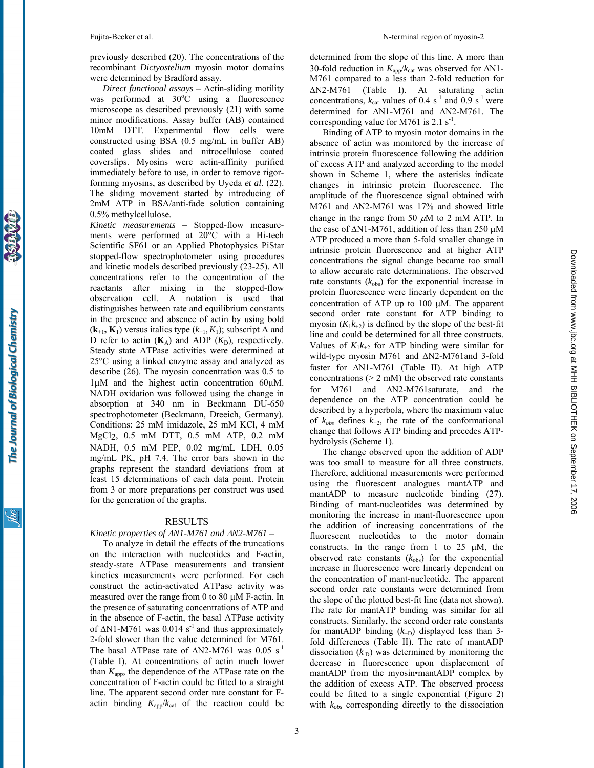previously described (20). The concentrations of the recombinant *Dictyostelium* myosin motor domains were determined by Bradford assay.

*Direct functional assays* **–** Actin-sliding motility was performed at  $30^{\circ}$ C using a fluorescence microscope as described previously (21) with some minor modifications. Assay buffer (AB) contained 10mM DTT. Experimental flow cells were constructed using BSA (0.5 mg/mL in buffer AB) coated glass slides and nitrocellulose coated coverslips. Myosins were actin-affinity purified immediately before to use, in order to remove rigorforming myosins, as described by Uyeda *et al.* (22). The sliding movement started by introducing of 2mM ATP in BSA/anti-fade solution containing 0.5% methylcellulose.

*Kinetic measurements* **–** Stopped-flow measurements were performed at 20°C with a Hi-tech Scientific SF61 or an Applied Photophysics PiStar stopped-flow spectrophotometer using procedures and kinetic models described previously (23-25). All concentrations refer to the concentration of the reactants after mixing in the stopped-flow observation cell. A notation is used that distinguishes between rate and equilibrium constants in the presence and absence of actin by using bold  $(k_{+1}, K_1)$  versus italics type  $(k_{+1}, K_1)$ ; subscript A and D refer to actin  $(K_A)$  and ADP  $(K_D)$ , respectively. Steady state ATPase activities were determined at 25°C using a linked enzyme assay and analyzed as describe (26). The myosin concentration was 0.5 to 1µM and the highest actin concentration 60µM. NADH oxidation was followed using the change in absorption at 340 nm in Beckmann DU-650 spectrophotometer (Beckmann, Dreeich, Germany). Conditions: 25 mM imidazole, 25 mM KCl, 4 mM MgCl2, 0.5 mM DTT, 0.5 mM ATP, 0.2 mM NADH, 0.5 mM PEP, 0.02 mg/mL LDH, 0.05 mg/mL PK, pH 7.4. The error bars shown in the graphs represent the standard deviations from at least 15 determinations of each data point. Protein from 3 or more preparations per construct was used for the generation of the graphs.

#### RESULTS

#### *Kinetic properties of* ∆*N1-M761 and* ∆*N2-M761* **–**

To analyze in detail the effects of the truncations on the interaction with nucleotides and F-actin, steady-state ATPase measurements and transient kinetics measurements were performed. For each construct the actin-activated ATPase activity was measured over the range from 0 to 80 µM F-actin. In the presence of saturating concentrations of ATP and in the absence of F-actin, the basal ATPase activity of  $\Delta$ N1-M761 was 0.014 s<sup>-1</sup> and thus approximately 2-fold slower than the value determined for M761. The basal ATPase rate of  $\Delta N2-M761$  was 0.05 s<sup>-1</sup> (Table I). At concentrations of actin much lower than  $K_{\text{app}}$ , the dependence of the ATPase rate on the concentration of F-actin could be fitted to a straight line. The apparent second order rate constant for Factin binding  $K_{app}/k_{cat}$  of the reaction could be

determined from the slope of this line. A more than 30-fold reduction in *K*app/*k*cat was observed for ∆N1- M761 compared to a less than 2-fold reduction for ∆N2-M761 (Table I). At saturating actin concentrations,  $k_{cat}$  values of 0.4 s<sup>-1</sup> and 0.9 s<sup>-1</sup> were determined for ∆N1-M761 and ∆N2-M761. The corresponding value for M761 is  $2.1$  s<sup>-1</sup>.

Binding of ATP to myosin motor domains in the absence of actin was monitored by the increase of intrinsic protein fluorescence following the addition of excess ATP and analyzed according to the model shown in Scheme 1, where the asterisks indicate changes in intrinsic protein fluorescence. The amplitude of the fluorescence signal obtained with M761 and ∆N2-M761 was 17% and showed little change in the range from 50  $\mu$ M to 2 mM ATP. In the case of ∆N1-M761, addition of less than 250 µM ATP produced a more than 5-fold smaller change in intrinsic protein fluorescence and at higher ATP concentrations the signal change became too small to allow accurate rate determinations. The observed rate constants  $(k_{obs})$  for the exponential increase in protein fluorescence were linearly dependent on the concentration of ATP up to 100 µM. The apparent second order rate constant for ATP binding to myosin  $(K_1k_{+2})$  is defined by the slope of the best-fit line and could be determined for all three constructs. Values of  $K_1k_{+2}$  for ATP binding were similar for wild-type myosin M761 and ∆N2-M761and 3-fold faster for ∆N1-M761 (Table II). At high ATP concentrations  $(> 2 \text{ mM})$  the observed rate constants for M761 and ∆N2-M761saturate, and the dependence on the ATP concentration could be described by a hyperbola, where the maximum value of  $k_{obs}$  defines  $k_{+2}$ , the rate of the conformational change that follows ATP binding and precedes ATPhydrolysis (Scheme 1).

The change observed upon the addition of ADP was too small to measure for all three constructs. Therefore, additional measurements were performed using the fluorescent analogues mantATP and mantADP to measure nucleotide binding (27). Binding of mant-nucleotides was determined by monitoring the increase in mant-fluorescence upon the addition of increasing concentrations of the fluorescent nucleotides to the motor domain constructs. In the range from 1 to 25  $\mu$ M, the observed rate constants  $(k_{obs})$  for the exponential increase in fluorescence were linearly dependent on the concentration of mant-nucleotide. The apparent second order rate constants were determined from the slope of the plotted best-fit line (data not shown). The rate for mantATP binding was similar for all constructs. Similarly, the second order rate constants for mantADP binding  $(k_{+D})$  displayed less than 3fold differences (Table II). The rate of mantADP dissociation  $(k<sub>D</sub>)$  was determined by monitoring the decrease in fluorescence upon displacement of mantADP from the myosin•mantADP complex by the addition of excess ATP. The observed process could be fitted to a single exponential (Figure 2) with  $k_{obs}$  corresponding directly to the dissociation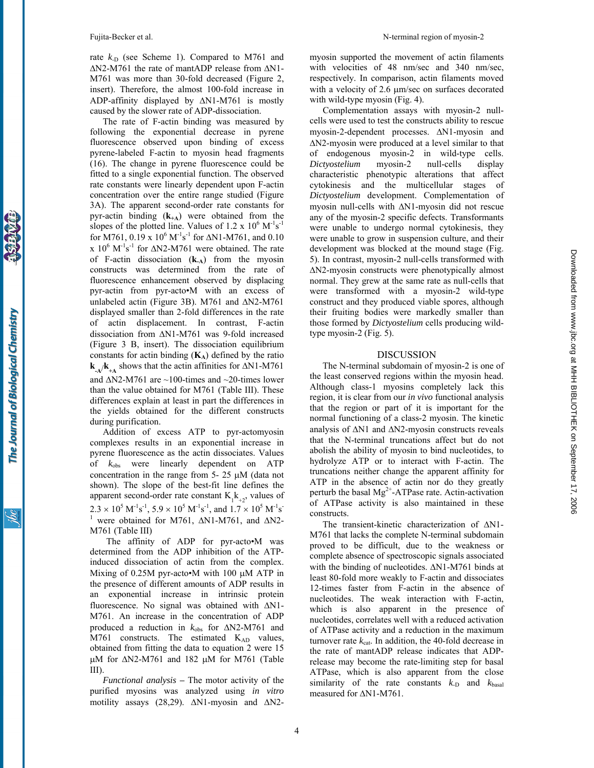rate  $k_D$  (see Scheme 1). Compared to M761 and ∆N2-M761 the rate of mantADP release from ∆N1- M761 was more than 30-fold decreased (Figure 2, insert). Therefore, the almost 100-fold increase in ADP-affinity displayed by ∆N1-M761 is mostly caused by the slower rate of ADP-dissociation.

The rate of F-actin binding was measured by following the exponential decrease in pyrene fluorescence observed upon binding of excess pyrene-labeled F-actin to myosin head fragments (16). The change in pyrene fluorescence could be fitted to a single exponential function. The observed rate constants were linearly dependent upon F-actin concentration over the entire range studied (Figure 3A). The apparent second-order rate constants for pyr-actin binding (**k+A**) were obtained from the slopes of the plotted line. Values of 1.2 x  $10^6$  M<sup>-1</sup>s<sup>-1</sup> for M761, 0.19 x  $10^6$  M<sup>-1</sup>s<sup>-1</sup> for  $\Delta$ N1-M761, and 0.10 x  $10^6$  M<sup>-1</sup>s<sup>-1</sup> for  $\Delta N2$ -M761 were obtained. The rate of F-actin dissociation (**k-A**) from the myosin constructs was determined from the rate of fluorescence enhancement observed by displacing pyr-actin from pyr-acto•M with an excess of unlabeled actin (Figure 3B). M761 and ∆N2-M761 displayed smaller than 2-fold differences in the rate of actin displacement. In contrast, F-actin dissociation from ∆N1-M761 was 9-fold increased (Figure 3 B, insert). The dissociation equilibrium constants for actin binding  $(K_A)$  defined by the ratio  $k_{-A}/k_{+A}$  shows that the actin affinities for  $\Delta N1-M761$ and ∆N2-M761 are ~100-times and ~20-times lower than the value obtained for M761 (Table III). These differences explain at least in part the differences in the yields obtained for the different constructs during purification.

Addition of excess ATP to pyr-actomyosin complexes results in an exponential increase in pyrene fluorescence as the actin dissociates. Values of *k*obs were linearly dependent on ATP concentration in the range from 5- 25 µM (data not shown). The slope of the best-fit line defines the apparent second-order rate constant  $K_1k_{+2}$ , values of  $2.3 \times 10^5 \text{ M}^{-1} \text{s}^{-1}$ ,  $5.9 \times 10^5 \text{ M}^{-1} \text{s}^{-1}$ , and  $1.7 \times 10^5 \text{ M}^{-1} \text{s}^{-1}$ <sup>1</sup> were obtained for M761, ΔN1-M761, and ΔN2-M761 (Table III)

The affinity of ADP for pyr-acto•M was determined from the ADP inhibition of the ATPinduced dissociation of actin from the complex. Mixing of 0.25M pyr-acto•M with 100 µM ATP in the presence of different amounts of ADP results in an exponential increase in intrinsic protein fluorescence. No signal was obtained with ∆N1- M761. An increase in the concentration of ADP produced a reduction in *k*obs for ∆N2-M761 and M761 constructs. The estimated K<sub>AD</sub> values, obtained from fitting the data to equation 2 were 15 µM for  $\Delta N2-M761$  and 182 µM for M761 (Table III).

*Functional analysis* **–** The motor activity of the purified myosins was analyzed using *in vitro* motility assays (28,29). ∆N1-myosin and ∆N2myosin supported the movement of actin filaments with velocities of 48 nm/sec and 340 nm/sec, respectively. In comparison, actin filaments moved with a velocity of 2.6  $\mu$ m/sec on surfaces decorated with wild-type myosin (Fig. 4).

Complementation assays with myosin-2 nullcells were used to test the constructs ability to rescue myosin-2-dependent processes. ∆N1-myosin and ∆N2-myosin were produced at a level similar to that of endogenous myosin-2 in wild-type cells. *Dictyostelium* myosin-2 null-cells display characteristic phenotypic alterations that affect cytokinesis and the multicellular stages of *Dictyostelium* development. Complementation of myosin null-cells with ∆N1-myosin did not rescue any of the myosin-2 specific defects. Transformants were unable to undergo normal cytokinesis, they were unable to grow in suspension culture, and their development was blocked at the mound stage (Fig. 5). In contrast, myosin-2 null-cells transformed with ∆N2-myosin constructs were phenotypically almost normal. They grew at the same rate as null-cells that were transformed with a myosin-2 wild-type construct and they produced viable spores, although their fruiting bodies were markedly smaller than those formed by *Dictyostelium* cells producing wildtype myosin-2 (Fig. 5).

#### DISCUSSION

The N-terminal subdomain of myosin-2 is one of the least conserved regions within the myosin head. Although class-1 myosins completely lack this region, it is clear from our *in vivo* functional analysis that the region or part of it is important for the normal functioning of a class-2 myosin. The kinetic analysis of ∆N1 and ∆N2-myosin constructs reveals that the N-terminal truncations affect but do not abolish the ability of myosin to bind nucleotides, to hydrolyze ATP or to interact with F-actin. The truncations neither change the apparent affinity for ATP in the absence of actin nor do they greatly perturb the basal  $Mg^{2+}$ -ATPase rate. Actin-activation of ATPase activity is also maintained in these constructs.

The transient-kinetic characterization of ∆N1-M761 that lacks the complete N-terminal subdomain proved to be difficult, due to the weakness or complete absence of spectroscopic signals associated with the binding of nucleotides. ∆N1-M761 binds at least 80-fold more weakly to F-actin and dissociates 12-times faster from F-actin in the absence of nucleotides. The weak interaction with F-actin, which is also apparent in the presence of nucleotides, correlates well with a reduced activation of ATPase activity and a reduction in the maximum turnover rate  $k_{\text{cat}}$ . In addition, the 40-fold decrease in the rate of mantADP release indicates that ADPrelease may become the rate-limiting step for basal ATPase, which is also apparent from the close similarity of the rate constants  $k_D$  and  $k_{\text{basal}}$ measured for ∆N1-M761.

The Journal of Biological Chemistry

4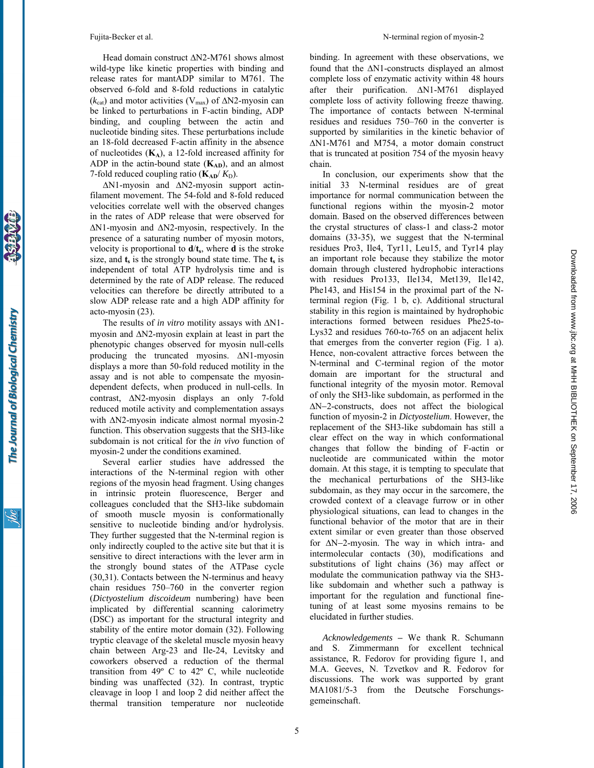Head domain construct ∆N2-M761 shows almost wild-type like kinetic properties with binding and release rates for mantADP similar to M761. The observed 6-fold and 8-fold reductions in catalytic  $(k_{cat})$  and motor activities (V<sub>max</sub>) of  $\Delta N2$ -myosin can be linked to perturbations in F-actin binding, ADP binding, and coupling between the actin and nucleotide binding sites. These perturbations include an 18-fold decreased F-actin affinity in the absence of nucleotides (**KA**), a 12-fold increased affinity for ADP in the actin-bound state  $(K_{AD})$ , and an almost 7-fold reduced coupling ratio  $(K_{AD}/K_D)$ .

∆N1-myosin and ∆N2-myosin support actinfilament movement. The 54-fold and 8-fold reduced velocities correlate well with the observed changes in the rates of ADP release that were observed for ∆N1-myosin and ∆N2-myosin, respectively. In the presence of a saturating number of myosin motors, velocity is proportional to  $\mathbf{d}/\mathbf{t}_s$ , where **d** is the stroke size, and  $\mathbf{t}_s$  is the strongly bound state time. The  $\mathbf{t}_s$  is independent of total ATP hydrolysis time and is determined by the rate of ADP release. The reduced velocities can therefore be directly attributed to a slow ADP release rate and a high ADP affinity for acto-myosin (23).

The results of *in vitro* motility assays with ∆N1 myosin and ∆N2-myosin explain at least in part the phenotypic changes observed for myosin null-cells producing the truncated myosins. ∆N1-myosin displays a more than 50-fold reduced motility in the assay and is not able to compensate the myosindependent defects, when produced in null-cells. In contrast, ∆N2-myosin displays an only 7-fold reduced motile activity and complementation assays with ∆N2-myosin indicate almost normal myosin-2 function. This observation suggests that the SH3-like subdomain is not critical for the *in vivo* function of myosin-2 under the conditions examined.

Several earlier studies have addressed the interactions of the N-terminal region with other regions of the myosin head fragment. Using changes in intrinsic protein fluorescence, Berger and colleagues concluded that the SH3-like subdomain of smooth muscle myosin is conformationally sensitive to nucleotide binding and/or hydrolysis. They further suggested that the N-terminal region is only indirectly coupled to the active site but that it is sensitive to direct interactions with the lever arm in the strongly bound states of the ATPase cycle (30,31). Contacts between the N-terminus and heavy chain residues 750–760 in the converter region (*Dictyostelium discoideum* numbering) have been implicated by differential scanning calorimetry (DSC) as important for the structural integrity and stability of the entire motor domain (32). Following tryptic cleavage of the skeletal muscle myosin heavy chain between Arg-23 and Ile-24, Levitsky and coworkers observed a reduction of the thermal transition from 49º C to 42º C, while nucleotide binding was unaffected (32). In contrast, tryptic cleavage in loop 1 and loop 2 did neither affect the thermal transition temperature nor nucleotide binding. In agreement with these observations, we found that the ∆N1-constructs displayed an almost complete loss of enzymatic activity within 48 hours after their purification. ∆N1-M761 displayed complete loss of activity following freeze thawing. The importance of contacts between N-terminal residues and residues 750–760 in the converter is supported by similarities in the kinetic behavior of ∆N1-M761 and M754, a motor domain construct that is truncated at position 754 of the myosin heavy chain.

In conclusion, our experiments show that the initial 33 N-terminal residues are of great importance for normal communication between the functional regions within the myosin-2 motor domain. Based on the observed differences between the crystal structures of class-1 and class-2 motor domains (33-35), we suggest that the N-terminal residues Pro3, Ile4, Tyr11, Leu15, and Tyr14 play an important role because they stabilize the motor domain through clustered hydrophobic interactions with residues Pro133, Ile134, Met139, Ile142, Phe143, and His154 in the proximal part of the Nterminal region (Fig. 1 b, c). Additional structural stability in this region is maintained by hydrophobic interactions formed between residues Phe25-to-Lys32 and residues 760-to-765 on an adjacent helix that emerges from the converter region (Fig. 1 a). Hence, non-covalent attractive forces between the N-terminal and C-terminal region of the motor domain are important for the structural and functional integrity of the myosin motor. Removal of only the SH3-like subdomain, as performed in the ∆Ν−2-constructs, does not affect the biological function of myosin-2 in *Dictyostelium*. However, the replacement of the SH3-like subdomain has still a clear effect on the way in which conformational changes that follow the binding of F-actin or nucleotide are communicated within the motor domain. At this stage, it is tempting to speculate that the mechanical perturbations of the SH3-like subdomain, as they may occur in the sarcomere, the crowded context of a cleavage furrow or in other physiological situations, can lead to changes in the functional behavior of the motor that are in their extent similar or even greater than those observed for ∆Ν−2-myosin. The way in which intra- and intermolecular contacts (30), modifications and substitutions of light chains (36) may affect or modulate the communication pathway via the SH3 like subdomain and whether such a pathway is important for the regulation and functional finetuning of at least some myosins remains to be elucidated in further studies.

*Acknowledgements* **–** We thank R. Schumann and S. Zimmermann for excellent technical assistance, R. Fedorov for providing figure 1, and M.A. Geeves, N. Tzvetkov and R. Fedorov for discussions. The work was supported by grant MA1081/5-3 from the Deutsche Forschungsgemeinschaft.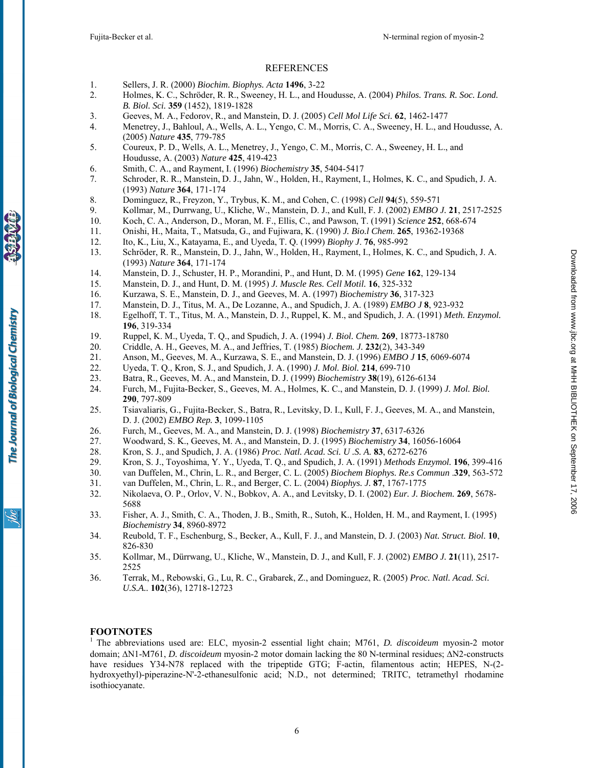#### REFERENCES

- 1. Sellers, J. R. (2000) *Biochim. Biophys. Acta* **1496**, 3-22
- 2. Holmes, K. C., Schröder, R. R., Sweeney, H. L., and Houdusse, A. (2004) *Philos. Trans. R. Soc. Lond. B. Biol. Sci.* **359** (1452), 1819-1828
- 3. Geeves, M. A., Fedorov, R., and Manstein, D. J. (2005) *Cell Mol Life Sci.* **62**, 1462-1477
- 4. Menetrey, J., Bahloul, A., Wells, A. L., Yengo, C. M., Morris, C. A., Sweeney, H. L., and Houdusse, A. (2005) *Nature* **435**, 779-785
- 5. Coureux, P. D., Wells, A. L., Menetrey, J., Yengo, C. M., Morris, C. A., Sweeney, H. L., and Houdusse, A. (2003) *Nature* **425**, 419-423
- 6. Smith, C. A., and Rayment, I. (1996) *Biochemistry* **35**, 5404-5417
- 7. Schroder, R. R., Manstein, D. J., Jahn, W., Holden, H., Rayment, I., Holmes, K. C., and Spudich, J. A. (1993) *Nature* **364**, 171-174
- 8. Dominguez, R., Freyzon, Y., Trybus, K. M., and Cohen, C. (1998) *Cell* **94**(5), 559-571
- 9. Kollmar, M., Durrwang, U., Kliche, W., Manstein, D. J., and Kull, F. J. (2002) *EMBO J.* **21**, 2517-2525
- 10. Koch, C. A., Anderson, D., Moran, M. F., Ellis, C., and Pawson, T. (1991) *Science* **252**, 668-674
- 11. Onishi, H., Maita, T., Matsuda, G., and Fujiwara, K. (1990) *J. Bio.l Chem*. **265**, 19362-19368
- 12. Ito, K., Liu, X., Katayama, E., and Uyeda, T. Q. (1999) *Biophy J*. **76**, 985-992
- 13. Schröder, R. R., Manstein, D. J., Jahn, W., Holden, H., Rayment, I., Holmes, K. C., and Spudich, J. A. (1993) *Nature* **364**, 171-174
- 14. Manstein, D. J., Schuster, H. P., Morandini, P., and Hunt, D. M. (1995) *Gene* **162**, 129-134
- 15. Manstein, D. J., and Hunt, D. M. (1995) *J. Muscle Res. Cell Motil.* **16**, 325-332
- 16. Kurzawa, S. E., Manstein, D. J., and Geeves, M. A. (1997) *Biochemistry* **36**, 317-323
- 17. Manstein, D. J., Titus, M. A., De Lozanne, A., and Spudich, J. A. (1989) *EMBO J* **8**, 923-932
- 18. Egelhoff, T. T., Titus, M. A., Manstein, D. J., Ruppel, K. M., and Spudich, J. A. (1991) *Meth. Enzymol.* **196**, 319-334
- 19. Ruppel, K. M., Uyeda, T. Q., and Spudich, J. A. (1994) *J. Biol. Chem.* **269**, 18773-18780
- 20. Criddle, A. H., Geeves, M. A., and Jeffries, T. (1985) *Biochem. J.* **232**(2), 343-349
- 21. Anson, M., Geeves, M. A., Kurzawa, S. E., and Manstein, D. J. (1996) *EMBO J* **15**, 6069-6074
- 
- 22. Uyeda, T. Q., Kron, S. J., and Spudich, J. A. (1990) *J. Mol. Biol.* **214**, 699-710<br>23. Batra, R., Geeves, M. A., and Manstein, D. J. (1999) *Biochemistry* **38**(19), 612*e* 23. Batra, R., Geeves, M. A., and Manstein, D. J. (1999) *Biochemistry* **38**(19), 6126-6134
- 24. Furch, M., Fujita-Becker, S., Geeves, M. A., Holmes, K. C., and Manstein, D. J. (1999) *J. Mol. Biol.* **290**, 797-809
- 25. Tsiavaliaris, G., Fujita-Becker, S., Batra, R., Levitsky, D. I., Kull, F. J., Geeves, M. A., and Manstein, D. J. (2002) *EMBO Rep.* **3**, 1099-1105
- 26. Furch, M., Geeves, M. A., and Manstein, D. J. (1998) *Biochemistry* **37**, 6317-6326
- 27. Woodward, S. K., Geeves, M. A., and Manstein, D. J. (1995) *Biochemistry* **34**, 16056-16064
- 28. Kron, S. J., and Spudich, J. A. (1986) *Proc. Natl. Acad. Sci. U .S. A.* **83**, 6272-6276
- 29. Kron, S. J., Toyoshima, Y. Y., Uyeda, T. Q., and Spudich, J. A. (1991) *Methods Enzymol.* **196**, 399-416
- 30. van Duffelen, M., Chrin, L. R., and Berger, C. L. (2005) *Biochem Biophys. Re.s Commun* .**329**, 563-572
- 31. van Duffelen, M., Chrin, L. R., and Berger, C. L. (2004) *Biophys. J.* **87**, 1767-1775
- 32. Nikolaeva, O. P., Orlov, V. N., Bobkov, A. A., and Levitsky, D. I. (2002) *Eur. J. Biochem.* **269**, 5678- 5688
- 33. Fisher, A. J., Smith, C. A., Thoden, J. B., Smith, R., Sutoh, K., Holden, H. M., and Rayment, I. (1995) *Biochemistry* **34**, 8960-8972
- 34. Reubold, T. F., Eschenburg, S., Becker, A., Kull, F. J., and Manstein, D. J. (2003) *Nat. Struct. Biol.* **10**, 826-830
- 35. Kollmar, M., Dürrwang, U., Kliche, W., Manstein, D. J., and Kull, F. J. (2002) *EMBO J.* **21**(11), 2517- 2525
- 36. Terrak, M., Rebowski, G., Lu, R. C., Grabarek, Z., and Dominguez, R. (2005) *Proc. Natl. Acad. Sci. U.S.A..* **102**(36), 12718-12723

# **FOOTNOTES**

1 The abbreviations used are: ELC, myosin-2 essential light chain; M761, *D. discoideum* myosin-2 motor domain; ∆N1-M761, *D. discoideum* myosin-2 motor domain lacking the 80 N-terminal residues; ∆N2-constructs have residues Y34-N78 replaced with the tripeptide GTG; F-actin, filamentous actin; HEPES, N-(2hydroxyethyl)-piperazine-N'-2-ethanesulfonic acid; N.D., not determined; TRITC, tetramethyl rhodamine isothiocyanate.

The Journal of Biological Chemistry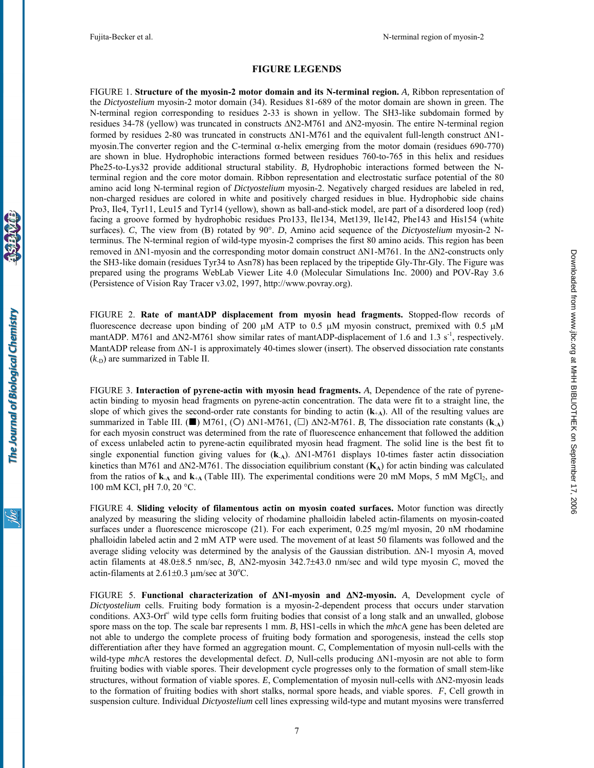## **FIGURE LEGENDS**

FIGURE 1. **Structure of the myosin-2 motor domain and its N-terminal region.** *A,* Ribbon representation of the *Dictyostelium* myosin-2 motor domain (34). Residues 81-689 of the motor domain are shown in green. The N-terminal region corresponding to residues 2-33 is shown in yellow. The SH3-like subdomain formed by residues 34-78 (yellow) was truncated in constructs ∆N2-M761 and ∆N2-myosin. The entire N-terminal region formed by residues 2-80 was truncated in constructs ∆N1-M761 and the equivalent full-length construct ∆N1 myosin.The converter region and the C-terminal α-helix emerging from the motor domain (residues 690-770) are shown in blue. Hydrophobic interactions formed between residues 760-to-765 in this helix and residues Phe25-to-Lys32 provide additional structural stability. *B,* Hydrophobic interactions formed between the Nterminal region and the core motor domain. Ribbon representation and electrostatic surface potential of the 80 amino acid long N-terminal region of *Dictyostelium* myosin-2. Negatively charged residues are labeled in red, non-charged residues are colored in white and positively charged residues in blue. Hydrophobic side chains Pro3, Ile4, Tyr11, Leu15 and Tyr14 (yellow), shown as ball-and-stick model, are part of a disordered loop (red) facing a groove formed by hydrophobic residues Pro133, Ile134, Met139, Ile142, Phe143 and His154 (white surfaces). *C*, The view from (B) rotated by 90°. *D*, Amino acid sequence of the *Dictyostelium* myosin-2 Nterminus. The N-terminal region of wild-type myosin-2 comprises the first 80 amino acids. This region has been removed in ∆N1-myosin and the corresponding motor domain construct ∆N1-M761. In the ∆N2-constructs only the SH3-like domain (residues Tyr34 to Asn78) has been replaced by the tripeptide Gly-Thr-Gly. The Figure was prepared using the programs WebLab Viewer Lite 4.0 (Molecular Simulations Inc. 2000) and POV-Ray 3.6 (Persistence of Vision Ray Tracer v3.02, 1997, http://www.povray.org).

FIGURE 2. **Rate of mantADP displacement from myosin head fragments.** Stopped-flow records of fluorescence decrease upon binding of 200  $\mu$ M ATP to 0.5  $\mu$ M myosin construct, premixed with 0.5  $\mu$ M mantADP. M761 and  $\Delta$ N2-M761 show similar rates of mantADP-displacement of 1.6 and 1.3 s<sup>-1</sup>, respectively. MantADP release from ∆N-1 is approximately 40-times slower (insert). The observed dissociation rate constants  $(k<sub>-D</sub>)$  are summarized in Table II.

FIGURE 3. **Interaction of pyrene-actin with myosin head fragments.** *A*, Dependence of the rate of pyreneactin binding to myosin head fragments on pyrene-actin concentration. The data were fit to a straight line, the slope of which gives the second-order rate constants for binding to actin  $(k<sub>+</sub>A)$ . All of the resulting values are summarized in Table III. (■) M761, (O)  $\Delta N1-M761$ , ( $\square$ )  $\Delta N2-M761$ . *B*, The dissociation rate constants (**k**<sub>A</sub>) for each myosin construct was determined from the rate of fluorescence enhancement that followed the addition of excess unlabeled actin to pyrene-actin equilibrated myosin head fragment. The solid line is the best fit to single exponential function giving values for (**k**-**A**). ∆N1-M761 displays 10-times faster actin dissociation kinetics than M761 and ∆N2-M761. The dissociation equilibrium constant (**K**<sub>A</sub>) for actin binding was calculated from the ratios of  $\mathbf{k}_A$  and  $\mathbf{k}_{A}$  (Table III). The experimental conditions were 20 mM Mops, 5 mM MgCl<sub>2</sub>, and 100 mM KCl, pH 7.0, 20 °C.

FIGURE 4*.* **Sliding velocity of filamentous actin on myosin coated surfaces.** Motor function was directly analyzed by measuring the sliding velocity of rhodamine phalloidin labeled actin-filaments on myosin-coated surfaces under a fluorescence microscope (21). For each experiment, 0.25 mg/ml myosin, 20 nM rhodamine phalloidin labeled actin and 2 mM ATP were used. The movement of at least 50 filaments was followed and the average sliding velocity was determined by the analysis of the Gaussian distribution. ∆N-1 myosin *A*, moved actin filaments at 48.0±8.5 nm/sec, *B*, ∆N2-myosin 342.7±43.0 nm/sec and wild type myosin *C*, moved the actin-filaments at  $2.61 \pm 0.3$  µm/sec at  $30^{\circ}$ C.

FIGURE 5. **Functional characterization of** ∆**N1-myosin and** ∆**N2-myosin.** *A*, Development cycle of *Dictyostelium* cells. Fruiting body formation is a myosin-2-dependent process that occurs under starvation conditions. AX3-Orf<sup>+</sup> wild type cells form fruiting bodies that consist of a long stalk and an unwalled, globose spore mass on the top. The scale bar represents 1 mm. *B*, HS1-cells in which the *mhc*A gene has been deleted are not able to undergo the complete process of fruiting body formation and sporogenesis, instead the cells stop differentiation after they have formed an aggregation mount. *C*, Complementation of myosin null-cells with the wild-type *mhc*A restores the developmental defect. *D*, Null-cells producing ∆N1-myosin are not able to form fruiting bodies with viable spores. Their development cycle progresses only to the formation of small stem-like structures, without formation of viable spores. *E*, Complementation of myosin null-cells with ∆N2-myosin leads to the formation of fruiting bodies with short stalks, normal spore heads, and viable spores. *F*, Cell growth in suspension culture. Individual *Dictyostelium* cell lines expressing wild-type and mutant myosins were transferred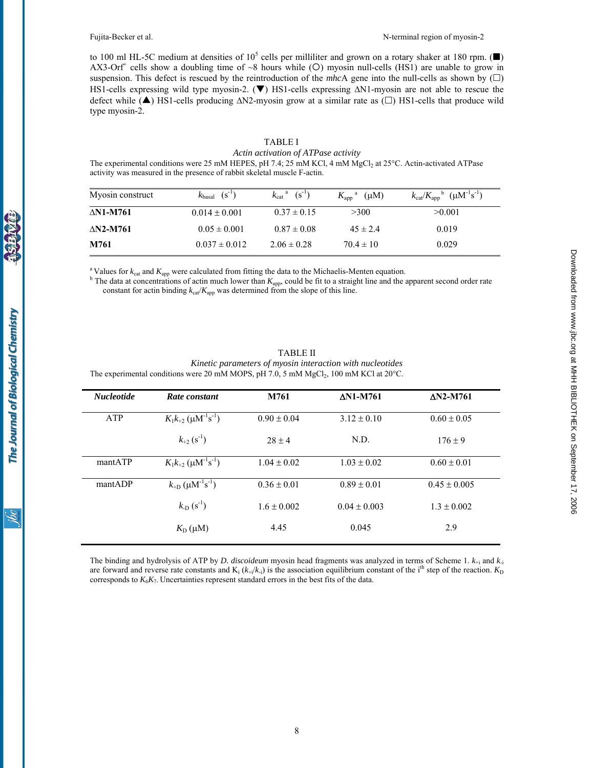to 100 ml HL-5C medium at densities of  $10^5$  cells per milliliter and grown on a rotary shaker at 180 rpm. ( $\blacksquare$ )  $AX3$ -Orf<sup>+</sup> cells show a doubling time of ~8 hours while (O) myosin null-cells (HS1) are unable to grow in suspension. This defect is rescued by the reintroduction of the *mhc*A gene into the null-cells as shown by  $(\Box)$ HS1-cells expressing wild type myosin-2. ( $\blacktriangledown$ ) HS1-cells expressing ∆N1-myosin are not able to rescue the defect while (▲) HS1-cells producing ∆N2-myosin grow at a similar rate as (□) HS1-cells that produce wild type myosin-2.

# TABLE I *Actin activation of ATPase activity*

The experimental conditions were 25 mM HEPES, pH 7.4; 25 mM KCl, 4 mM MgCl<sub>2</sub> at 25°C. Actin-activated ATPase activity was measured in the presence of rabbit skeletal muscle F-actin.

| Myosin construct    | $(S^{-1})$<br>$k_{\text{basal}}$ | $(S^{-1})$<br>$k_{\text{cat}}$ <sup>a</sup> | $K_{\rm app}$ <sup>a</sup> ( $\mu$ M) | $k_{\text{cat}}/K_{\text{app}}^{\text{b}}$ ( $\mu$ M <sup>-1</sup> s <sup>-1</sup> ) |
|---------------------|----------------------------------|---------------------------------------------|---------------------------------------|--------------------------------------------------------------------------------------|
| AN1-M761            | $0.014 \pm 0.001$                | $0.37 \pm 0.15$                             | >300                                  | >0.001                                                                               |
| $\triangle$ N2-M761 | $0.05 \pm 0.001$                 | $0.87 \pm 0.08$                             | $45 \pm 2.4$                          | 0.019                                                                                |
| M761                | $0.037 \pm 0.012$                | $2.06 \pm 0.28$                             | $70.4 \pm 10$                         | 0.029                                                                                |

<sup>a</sup> Values for  $k_{\text{cat}}$  and  $K_{\text{app}}$  were calculated from fitting the data to the Michaelis-Menten equation.

The data at concentrations of actin much lower than  $K_{app}$ , could be fit to a straight line and the apparent second order rate constant for actin binding  $k_{cat}/K_{app}$  was determined from the slope of this line.

| <b>Nucleotide</b> | Rate constant                                             | M761            | <b>AN1-M761</b>  | $AN2-M761$       |
|-------------------|-----------------------------------------------------------|-----------------|------------------|------------------|
| <b>ATP</b>        | $K_1k_{+2}$ ( $\mu$ M <sup>-1</sup> s <sup>-1</sup> )     | $0.90 \pm 0.04$ | $3.12 \pm 0.10$  | $0.60 \pm 0.05$  |
|                   | $k_{+2}(s^{-1})$                                          | $28 \pm 4$      | N.D.             | $176 \pm 9$      |
| mantATP           | $K_1k_{+2}$ ( $\mu$ M <sup>-1</sup> s <sup>-1</sup> )     | $1.04 \pm 0.02$ | $1.03 \pm 0.02$  | $0.60 \pm 0.01$  |
| mantADP           | $k_{\text{+D}}$ ( $\mu$ M <sup>-1</sup> s <sup>-1</sup> ) | $0.36 \pm 0.01$ | $0.89 \pm 0.01$  | $0.45 \pm 0.005$ |
|                   | $k_{\text{D}}(s^{-1})$                                    | $1.6 \pm 0.002$ | $0.04 \pm 0.003$ | $1.3 \pm 0.002$  |
|                   | $K_{\text{D}}(\mu M)$                                     | 4.45            | 0.045            | 2.9              |

TABLE II *Kinetic parameters of myosin interaction with nucleotides*  The experimental conditions were 20 mM MOPS, pH 7.0, 5 mM  $MgCl<sub>2</sub>$ , 100 mM KCl at 20°C.

The binding and hydrolysis of ATP by *D. discoideum* myosin head fragments was analyzed in terms of Scheme 1. *k*+i and *k*-i are forward and reverse rate constants and  $K_i$  ( $k_{+i}/k_i$ ) is the association equilibrium constant of the i<sup>th</sup> step of the reaction.  $K_D$ corresponds to  $K_6K_7$ . Uncertainties represent standard errors in the best fits of the data.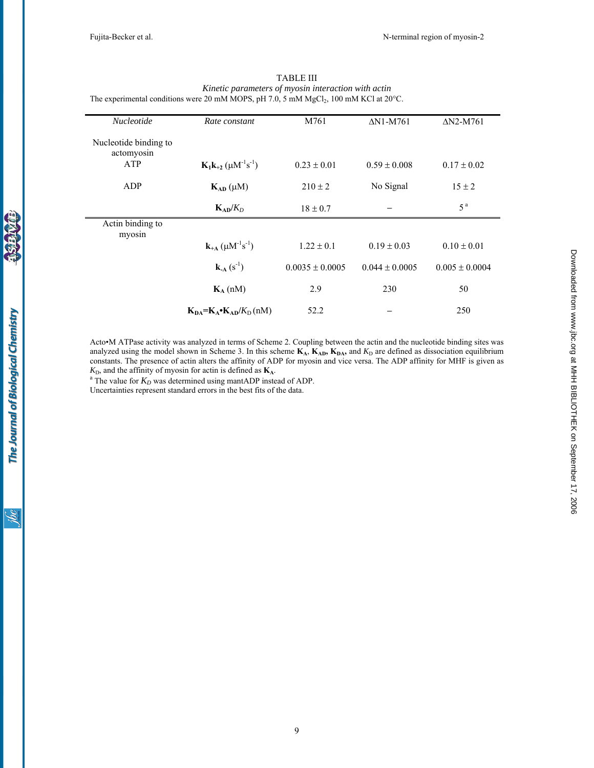| The experimental conditions were 20 mM MOPS, pH 7.0, 5 mM MgCl <sub>2</sub> , 100 mM KCl at 20 $^{\circ}$ C. |                                                                |                     |                    |                    |  |  |  |
|--------------------------------------------------------------------------------------------------------------|----------------------------------------------------------------|---------------------|--------------------|--------------------|--|--|--|
| Nucleotide                                                                                                   | Rate constant                                                  | M761                | $\Delta$ N1-M761   | $\Delta$ N2-M761   |  |  |  |
| Nucleotide binding to<br>actomyosin                                                                          |                                                                |                     |                    |                    |  |  |  |
| ATP                                                                                                          | $K_1k_{+2}$ ( $\mu$ M <sup>-1</sup> s <sup>-1</sup> )          | $0.23 \pm 0.01$     | $0.59 \pm 0.008$   | $0.17 \pm 0.02$    |  |  |  |
| ADP                                                                                                          | $K_{AD}(\mu M)$                                                | $210 \pm 2$         | No Signal          | $15 \pm 2$         |  |  |  |
|                                                                                                              | $K_{AD}/K_D$                                                   | $18 \pm 0.7$        |                    | 5 <sup>a</sup>     |  |  |  |
| Actin binding to<br>myosin                                                                                   |                                                                |                     |                    |                    |  |  |  |
|                                                                                                              | ${\bf k}_{+{\bf A}}$ ( $\mu$ M <sup>-1</sup> s <sup>-1</sup> ) | $1.22 \pm 0.1$      | $0.19 \pm 0.03$    | $0.10 \pm 0.01$    |  |  |  |
|                                                                                                              | ${\bf k}_A(s^{-1})$                                            | $0.0035 \pm 0.0005$ | $0.044 \pm 0.0005$ | $0.005 \pm 0.0004$ |  |  |  |
|                                                                                                              | $K_A$ (nM)                                                     | 2.9                 | 230                | 50                 |  |  |  |
|                                                                                                              | $K_{DA} = K_A \cdot K_{AD}/K_D (nM)$                           | 52.2                |                    | 250                |  |  |  |

TABLE III *Kinetic parameters of myosin interaction with actin* 

Acto•M ATPase activity was analyzed in terms of Scheme 2. Coupling between the actin and the nucleotide binding sites was analyzed using the model shown in Scheme 3. In this scheme  $K_A$ ,  $K_{AD}$ ,  $K_{DA}$ , and  $K_D$  are defined as dissociation equilibrium constants. The presence of actin alters the affinity of ADP for myosin and vice versa. The ADP affinity for MHF is given as  $K<sub>D</sub>$ , and the affinity of myosin for actin is defined as  $K<sub>A</sub>$ .

<sup>a</sup> The value for  $K_D$  was determined using mantADP instead of ADP.

Uncertainties represent standard errors in the best fits of the data.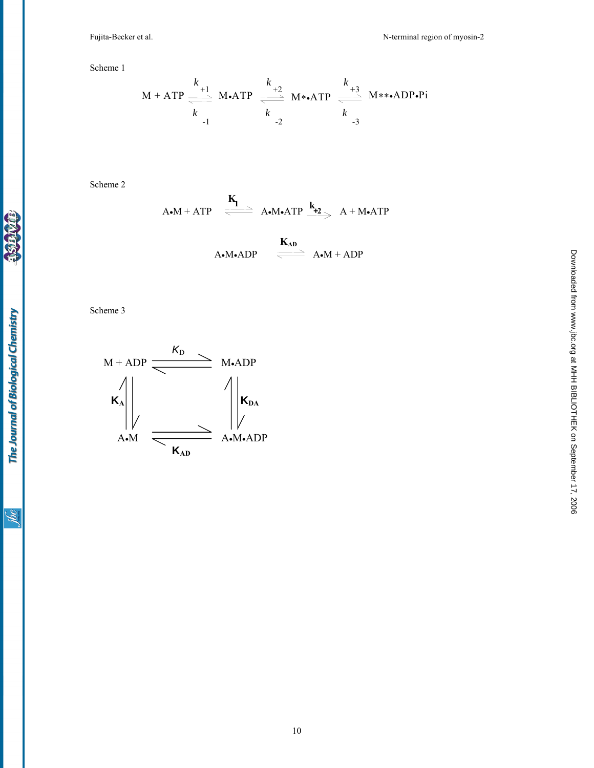Scheme 1

$$
M + ATP \xrightarrow[k+1]{k+1} M\bullet ATP \xrightarrow[k+2]{k+2}{k} M\bullet\bullet ATP \xrightarrow[k+1]{k+3}{k} M\bullet\bulletADP\bullet Pi
$$
  

$$
k \xrightarrow[k+1]{k+2}{k} A^T P \xrightarrow[k+3]{k+3}{k} M\bullet\bullet ADP\bullet Pi
$$

Scheme 2

$$
A \bullet M + ATP \quad \xrightarrow{\mathbf{K_1}} \quad A \bullet M \bullet ATP \xrightarrow{\mathbf{k_2}} A + M \bullet ATP
$$

$$
\begin{array}{ccc}\n\mathbf{K}_{AD} & \xrightarrow{\mathbf{K}_{AD}} & A \bullet M + ADP\n\end{array}
$$

Scheme 3



**EDK** 

<u>Solic</u>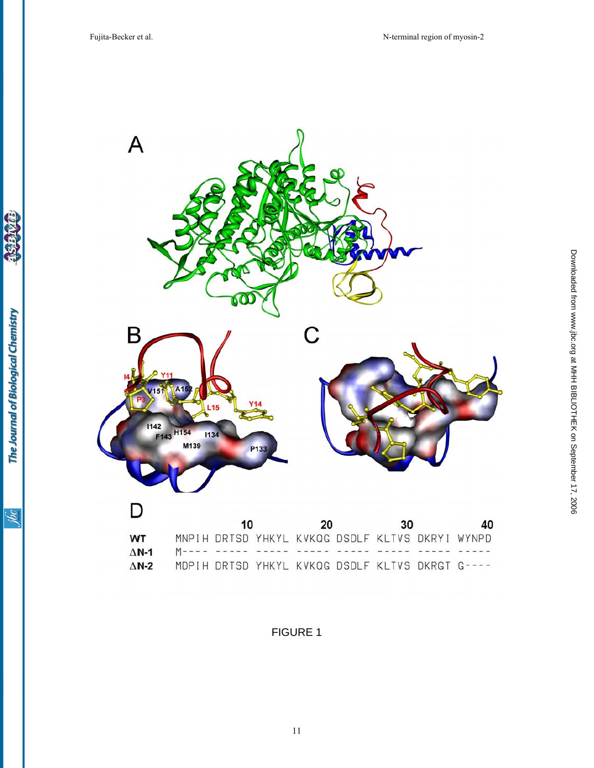

The Journal of Biological Chemistry

**Valley**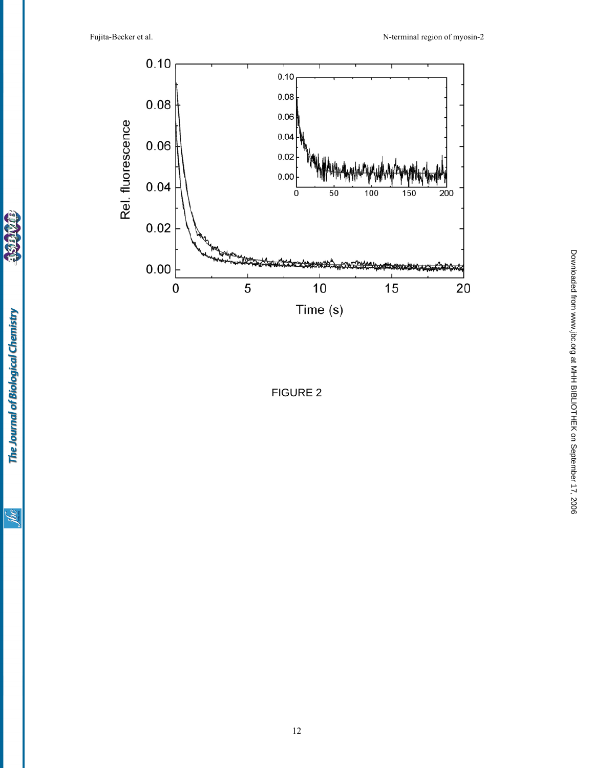Downloadedfrom [www.jbc.org](http://www.jbc.org) at MHH BIBLIOTHEK on September 17, 2006

Downloaded from www.j.pc.org at MHH BIBLIOTHEK on September 17, 2006



FIGURE 2

**CEDA**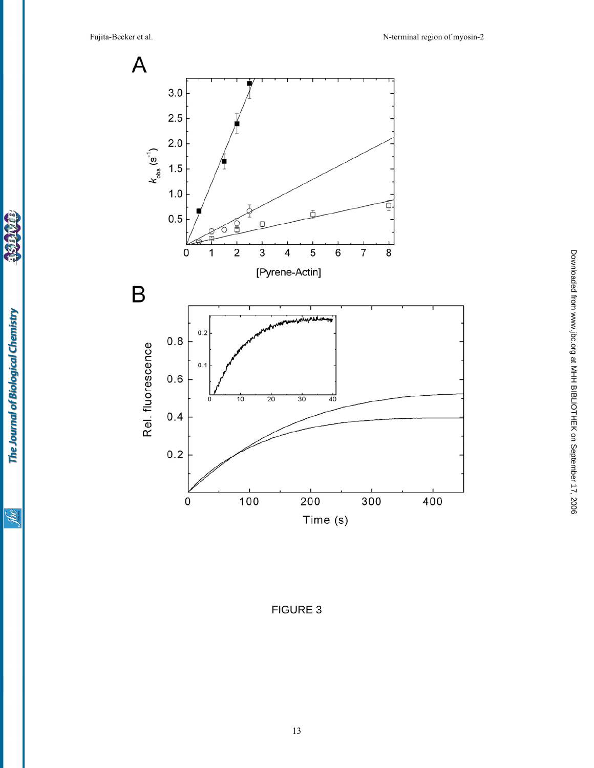

**Add** 

The Journal of Biological Chemistry

FIGURE 3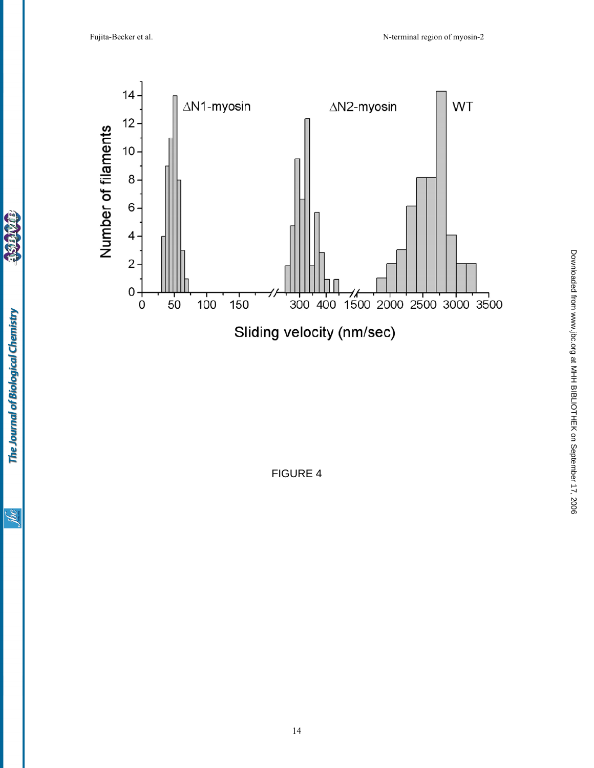

FIGURE 4

**CEDA** 

**THE REAL**